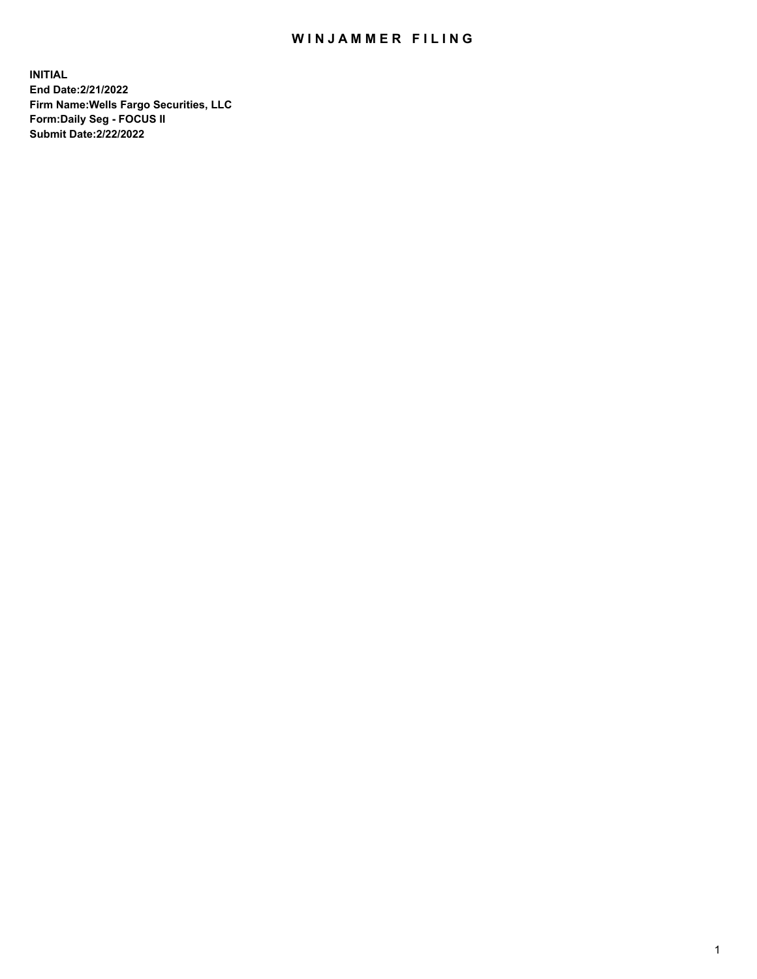## WIN JAMMER FILING

**INITIAL End Date:2/21/2022 Firm Name:Wells Fargo Securities, LLC Form:Daily Seg - FOCUS II Submit Date:2/22/2022**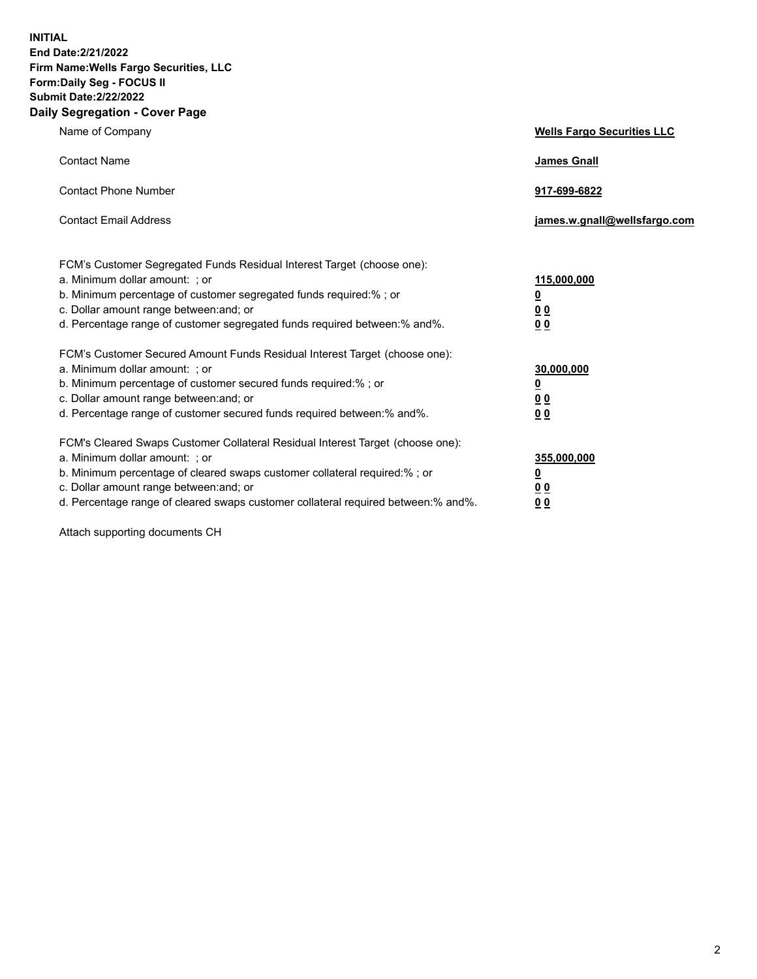**INITIAL End Date:2/21/2022 Firm Name:Wells Fargo Securities, LLC Form:Daily Seg - FOCUS II Submit Date:2/22/2022 Daily Segregation - Cover Page**

| Name of Company                                                                                                       | <b>Wells Fargo Securities LLC</b> |
|-----------------------------------------------------------------------------------------------------------------------|-----------------------------------|
| <b>Contact Name</b>                                                                                                   | <b>James Gnall</b>                |
|                                                                                                                       |                                   |
| <b>Contact Phone Number</b>                                                                                           | 917-699-6822                      |
|                                                                                                                       |                                   |
| <b>Contact Email Address</b>                                                                                          | james.w.gnall@wellsfargo.com      |
|                                                                                                                       |                                   |
| FCM's Customer Segregated Funds Residual Interest Target (choose one):                                                |                                   |
| a. Minimum dollar amount: ; or                                                                                        | 115,000,000                       |
| b. Minimum percentage of customer segregated funds required:% ; or                                                    | <u>0</u>                          |
| c. Dollar amount range between: and; or                                                                               | 00                                |
| d. Percentage range of customer segregated funds required between:% and%.                                             | 00                                |
| FCM's Customer Secured Amount Funds Residual Interest Target (choose one):                                            |                                   |
| a. Minimum dollar amount: ; or                                                                                        | 30,000,000                        |
| b. Minimum percentage of customer secured funds required:%; or                                                        | <u>0</u>                          |
| c. Dollar amount range between: and; or                                                                               | 00                                |
| d. Percentage range of customer secured funds required between: % and %.                                              | 0 <sub>0</sub>                    |
|                                                                                                                       |                                   |
| FCM's Cleared Swaps Customer Collateral Residual Interest Target (choose one):                                        |                                   |
| a. Minimum dollar amount: ; or                                                                                        | 355,000,000                       |
| b. Minimum percentage of cleared swaps customer collateral required:% ; or<br>c. Dollar amount range between: and; or | <u>0</u>                          |
| d. Percentage range of cleared swaps customer collateral required between:% and%.                                     | <u>00</u><br>00                   |
|                                                                                                                       |                                   |

Attach supporting documents CH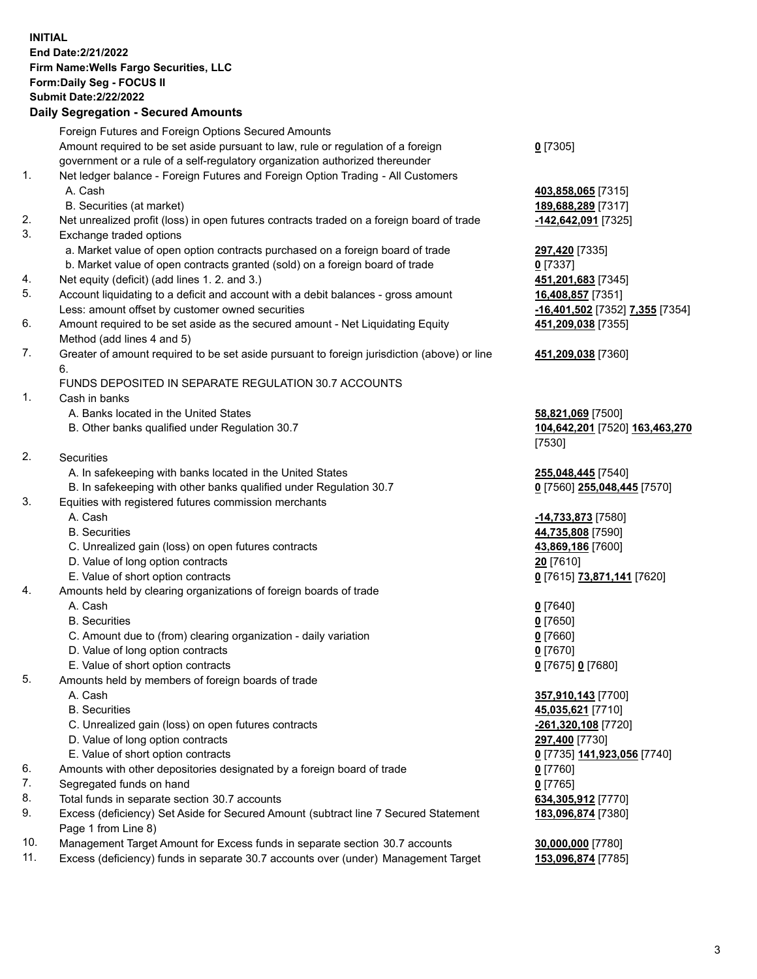**INITIAL End Date:2/21/2022 Firm Name:Wells Fargo Securities, LLC Form:Daily Seg - FOCUS II Submit Date:2/22/2022**

## **Daily Segregation - Secured Amounts**

|                 | Foreign Futures and Foreign Options Secured Amounts                                         |                                   |
|-----------------|---------------------------------------------------------------------------------------------|-----------------------------------|
|                 | Amount required to be set aside pursuant to law, rule or regulation of a foreign            | $0$ [7305]                        |
|                 | government or a rule of a self-regulatory organization authorized thereunder                |                                   |
| 1.              | Net ledger balance - Foreign Futures and Foreign Option Trading - All Customers             |                                   |
|                 | A. Cash                                                                                     | 403,858,065 [7315]                |
|                 | B. Securities (at market)                                                                   | 189,688,289 [7317]                |
| 2.              | Net unrealized profit (loss) in open futures contracts traded on a foreign board of trade   | -142,642,091 [7325]               |
| 3.              | Exchange traded options                                                                     |                                   |
|                 | a. Market value of open option contracts purchased on a foreign board of trade              | 297,420 [7335]                    |
|                 | b. Market value of open contracts granted (sold) on a foreign board of trade                | $0$ [7337]                        |
| 4.              | Net equity (deficit) (add lines 1. 2. and 3.)                                               | 451,201,683 [7345]                |
| 5.              | Account liquidating to a deficit and account with a debit balances - gross amount           | 16,408,857 [7351]                 |
|                 | Less: amount offset by customer owned securities                                            | -16,401,502 [7352] 7,355 [7354]   |
| 6.              | Amount required to be set aside as the secured amount - Net Liquidating Equity              | 451,209,038 [7355]                |
|                 | Method (add lines 4 and 5)                                                                  |                                   |
| 7.              | Greater of amount required to be set aside pursuant to foreign jurisdiction (above) or line | 451,209,038 [7360]                |
|                 | 6.                                                                                          |                                   |
|                 | FUNDS DEPOSITED IN SEPARATE REGULATION 30.7 ACCOUNTS                                        |                                   |
| 1.              | Cash in banks                                                                               |                                   |
|                 | A. Banks located in the United States                                                       | 58,821,069 [7500]                 |
|                 | B. Other banks qualified under Regulation 30.7                                              | 104,642,201 [7520] 163,463,270    |
|                 |                                                                                             | [7530]                            |
| 2.              | Securities                                                                                  |                                   |
|                 | A. In safekeeping with banks located in the United States                                   | 255,048,445 [7540]                |
|                 | B. In safekeeping with other banks qualified under Regulation 30.7                          | 0 [7560] 255,048,445 [7570]       |
| 3.              | Equities with registered futures commission merchants                                       |                                   |
|                 | A. Cash                                                                                     | -14,733,873 [7580]                |
|                 | <b>B.</b> Securities                                                                        | 44,735,808 [7590]                 |
|                 | C. Unrealized gain (loss) on open futures contracts                                         | 43,869,186 [7600]                 |
|                 | D. Value of long option contracts                                                           | 20 [7610]                         |
|                 | E. Value of short option contracts                                                          | 0 [7615] <b>73,871,141</b> [7620] |
| 4.              | Amounts held by clearing organizations of foreign boards of trade                           |                                   |
|                 | A. Cash                                                                                     | $0$ [7640]                        |
|                 | <b>B.</b> Securities                                                                        | $0$ [7650]                        |
|                 | C. Amount due to (from) clearing organization - daily variation                             | $0$ [7660]                        |
|                 | D. Value of long option contracts                                                           | $0$ [7670]                        |
|                 | E. Value of short option contracts                                                          | 0 [7675] 0 [7680]                 |
| 5.              | Amounts held by members of foreign boards of trade                                          |                                   |
|                 | A. Cash                                                                                     | 357,910,143 [7700]                |
|                 | <b>B.</b> Securities                                                                        | 45,035,621 [7710]                 |
|                 | C. Unrealized gain (loss) on open futures contracts                                         | -261,320,108 [7720]               |
|                 | D. Value of long option contracts                                                           | 297,400 [7730]                    |
|                 | E. Value of short option contracts                                                          | 0 [7735] 141,923,056 [7740]       |
| 6.              | Amounts with other depositories designated by a foreign board of trade                      | $0$ [7760]                        |
| 7.              | Segregated funds on hand                                                                    | $0$ [7765]                        |
| 8.              | Total funds in separate section 30.7 accounts                                               | 634,305,912 [7770]                |
| 9.              | Excess (deficiency) Set Aside for Secured Amount (subtract line 7 Secured Statement         | 183,096,874 [7380]                |
| $\overline{10}$ | Page 1 from Line 8)                                                                         |                                   |
|                 | $\sim$ $\sim$                                                                               |                                   |

- 10. Management Target Amount for Excess funds in separate section 30.7 accounts **30,000,000** [7780]
- 11. Excess (deficiency) funds in separate 30.7 accounts over (under) Management Target **153,096,874** [7785]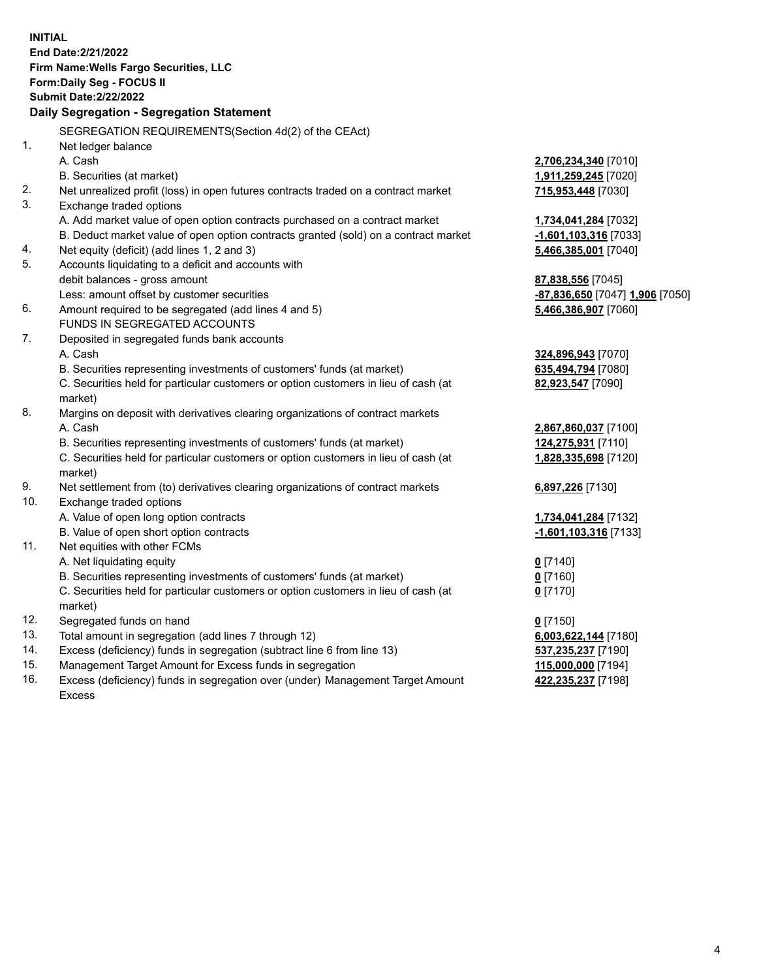**INITIAL End Date:2/21/2022 Firm Name:Wells Fargo Securities, LLC Form:Daily Seg - FOCUS II Submit Date:2/22/2022 Daily Segregation - Segregation Statement** SEGREGATION REQUIREMENTS(Section 4d(2) of the CEAct) 1. Net ledger balance A. Cash **2,706,234,340** [7010] B. Securities (at market) **1,911,259,245** [7020] 2. Net unrealized profit (loss) in open futures contracts traded on a contract market **715,953,448** [7030] 3. Exchange traded options A. Add market value of open option contracts purchased on a contract market **1,734,041,284** [7032] B. Deduct market value of open option contracts granted (sold) on a contract market **-1,601,103,316** [7033] 4. Net equity (deficit) (add lines 1, 2 and 3) **5,466,385,001** [7040] 5. Accounts liquidating to a deficit and accounts with debit balances - gross amount **87,838,556** [7045] Less: amount offset by customer securities **-87,836,650** [7047] **1,906** [7050] 6. Amount required to be segregated (add lines 4 and 5) **5,466,386,907** [7060] FUNDS IN SEGREGATED ACCOUNTS 7. Deposited in segregated funds bank accounts A. Cash **324,896,943** [7070] B. Securities representing investments of customers' funds (at market) **635,494,794** [7080] C. Securities held for particular customers or option customers in lieu of cash (at market) **82,923,547** [7090] 8. Margins on deposit with derivatives clearing organizations of contract markets A. Cash **2,867,860,037** [7100] B. Securities representing investments of customers' funds (at market) **124,275,931** [7110] C. Securities held for particular customers or option customers in lieu of cash (at market) **1,828,335,698** [7120] 9. Net settlement from (to) derivatives clearing organizations of contract markets **6,897,226** [7130] 10. Exchange traded options A. Value of open long option contracts **1,734,041,284** [7132] B. Value of open short option contracts **-1,601,103,316** [7133] 11. Net equities with other FCMs A. Net liquidating equity **0** [7140] B. Securities representing investments of customers' funds (at market) **0** [7160] C. Securities held for particular customers or option customers in lieu of cash (at market) **0** [7170] 12. Segregated funds on hand **0** [7150] 13. Total amount in segregation (add lines 7 through 12) **6,003,622,144** [7180] 14. Excess (deficiency) funds in segregation (subtract line 6 from line 13) **537,235,237** [7190] 15. Management Target Amount for Excess funds in segregation **115,000,000** [7194] **422,235,237** [7198]

16. Excess (deficiency) funds in segregation over (under) Management Target Amount Excess